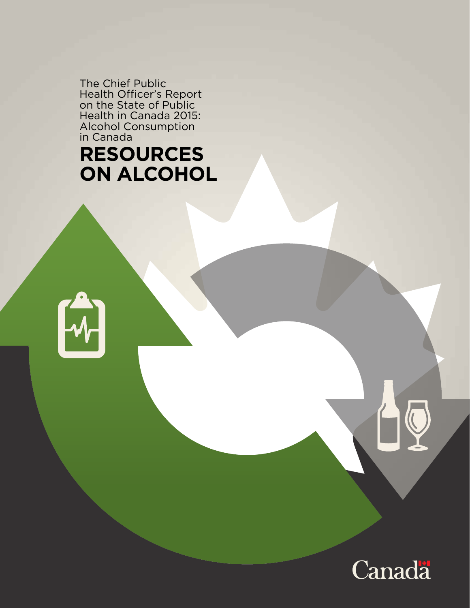The Chief Public Health Officer's Report on the State of Public Health in Canada 2015: Alcohol Consumption in Canada

# **RESOURCES ON ALCOHOL**



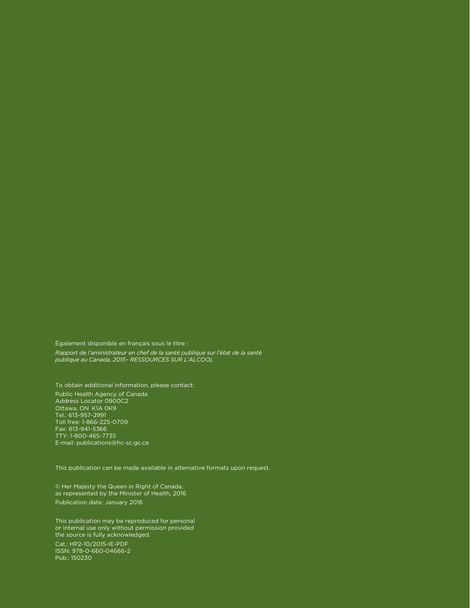Également disponible en français sous le titre : *Rapport de l'aministrateur en chef de la santé publique sur l'état de la santé publique au Canada, 2015– RESSOURCES SUR L'ALCOOL*

To obtain additional information, please contact: Public Health Agency of Canada Address Locator 0900C2 Ottawa, ON K1A 0K9 Tel.: 613-957-2991 Toll free: 1-866-225-0709 Fax: 613-941-5366 TTY: 1-800-465-7735 E-mail: publications@hc-sc.gc.ca

This publication can be made available in alternative formats upon request.

© Her Majesty the Queen in Right of Canada, as represented by the Minister of Health, 2016 Publication date: January 2016

This publication may be reproduced for personal or internal use only without permission provided the source is fully acknowledged. Cat.: HP2-10/2015-IE-PDF ISSN: 978-0-660-04666-2 Pub.: 150230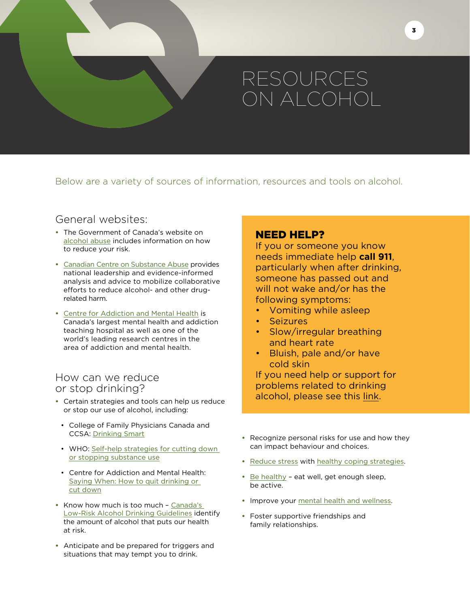# RESOURCES ON ALCOHOL

Below are a variety of sources of information, resources and tools on alcohol.

# General websites:

- **•** The Government of Canada's website on [alcohol abuse](http://healthycanadians.gc.ca/healthy-living-vie-saine/substance-abuse-toxicomanie/alcohol-alcool/index-eng.php) includes information on how to reduce your risk.
- **•** [Canadian Centre on Substance Abuse](http://www.ccsa.ca/Eng/Pages/default.aspx) provides national leadership and evidence-informed analysis and advice to mobilize collaborative efforts to reduce alcohol- and other drugrelated harm.
- **•** [Centre for Addiction and Mental Health](http://www.camh.ca/en/hospital/Pages/home.aspx) is Canada's largest mental health and addiction teaching hospital as well as one of the world's leading research centres in the area of addiction and mental health.

## How can we reduce or stop drinking?

- **•** Certain strategies and tools can help us reduce or stop our use of alcohol, including:
	- College of Family Physicians Canada and CCSA: [Drinking Smart](http://www.sbir-diba.ca/docs/default-document-library/patientworkbook-en.pdf?sfvrsn=3)
	- WHO: [Self-help strategies for cutting down](http://whqlibdoc.who.int/publications/2010/9789241599405_eng.pdf)  [or stopping substance use](http://whqlibdoc.who.int/publications/2010/9789241599405_eng.pdf)
	- Centre for Addiction and Mental Health: [Saying When: How to quit drinking or](https://itunes.apple.com/ca/app/saying-when-how-to-quit-drinking/id881678936?mt=8)  [cut down](https://itunes.apple.com/ca/app/saying-when-how-to-quit-drinking/id881678936?mt=8)
- **•** Know how much is too much [Canada's](http://ccsa.ca/Eng/topics/alcohol/drinking-guidelines/Pages/default.aspx)  [Low-Risk Alcohol Drinking Guidelines](http://ccsa.ca/Eng/topics/alcohol/drinking-guidelines/Pages/default.aspx) identify the amount of alcohol that puts our health at risk.
- **•** Anticipate and be prepared for triggers and situations that may tempt you to drink.

## NEED HELP?

If you or someone you know needs immediate help **call 911**, particularly when after drinking, someone has passed out and will not wake and/or has the following symptoms:

- Vomiting while asleep
- Seizures
- Slow/irregular breathing and heart rate
- Bluish, pale and/or have cold skin

If you need help or support for problems related to drinking alcohol, please see this [link.](http://www.healthycanadians.gc.ca/healthy-living-vie-saine/substance-abuse-toxicomanie/help-aide/get-help-obtenir-aide-eng.php)

- **•** Recognize personal risks for use and how they can impact behaviour and choices.
- **•** [Reduce stress](http://www.phac-aspc.gc.ca/cd-mc/cvd-mcv/reduce_stress-reduire_stress-eng.php) with [healthy coping strategies](http://www.hc-sc.gc.ca/hl-vs/iyh-vsv/life-vie/stress-eng.php).
- **•** [Be healthy](http://healthycanadians.gc.ca/healthy-living-vie-saine/index-eng.php?_ga=1.180424743.1091163832.1430753639) eat well, get enough sleep, be active.
- **•** Improve your [mental health and wellness](http://healthycanadians.gc.ca/healthy-living-vie-saine/mental-health-sante-mentale/index-eng.php).
- **•** Foster supportive friendships and family relationships.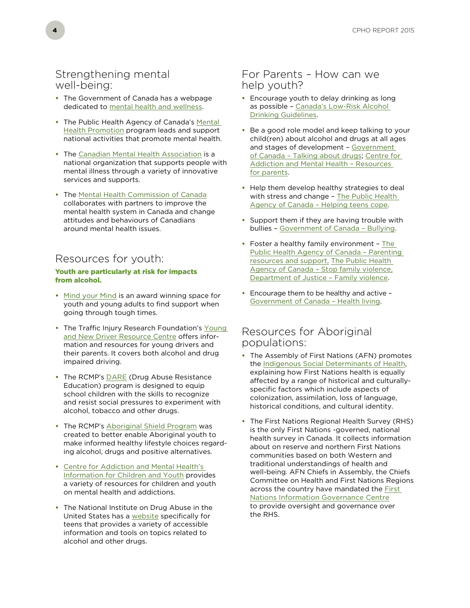### Strengthening mental well-being:

- **•** The Government of Canada has a webpage dedicated to [mental health and wellness](http://healthycanadians.gc.ca/healthy-living-vie-saine/mental-health-sante-mentale/index-eng.php).
- **•** The Public Health Agency of Canada's [Mental](http://www.phac-aspc.gc.ca/mh-sm/mhp-psm/index-eng.php)  [Health Promotion](http://www.phac-aspc.gc.ca/mh-sm/mhp-psm/index-eng.php) program leads and support national activities that promote mental health.
- **•** The [Canadian Mental Health Association](http://www.cmha.ca/) is a national organization that supports people with mental illness through a variety of innovative services and supports.
- **•** The [Mental Health Commission of Canada](http://www.mentalhealthcommission.ca/) collaborates with partners to improve the mental health system in Canada and change attitudes and behaviours of Canadians around mental health issues.

# Resources for youth:

#### Youth are particularly at risk for impacts from alcohol.

- **•** [Mind your Mind](http://mindyourmind.ca/) is an award winning space for youth and young adults to find support when going through tough times.
- **•** The Traffic Injury Research Foundation's [Young](http://yndrc.tirf.ca/)  [and New Driver Resource Centre](http://yndrc.tirf.ca/) offers information and resources for young drivers and their parents. It covers both alcohol and drug impaired driving.
- **•** The RCMP's [DARE](http://www.rcmp-grc.gc.ca/docas-ssdco/prog-eng.htm) (Drug Abuse Resistance Education) program is designed to equip school children with the skills to recognize and resist social pressures to experiment with alcohol, tobacco and other drugs.
- **•** The RCMP's [Aboriginal Shield Program](http://www.rcmp-grc.gc.ca/aboriginal-autochtone/abo-aut-shield-bouclier-eng.htm) was created to better enable Aboriginal youth to make informed healthy lifestyle choices regarding alcohol, drugs and positive alternatives.
- **•** [Centre for Addiction and Mental Health's](http://www.camh.ca/en/hospital/health_information/for_children_youth/Pages/default.aspx)  [Information for Children and Youth](http://www.camh.ca/en/hospital/health_information/for_children_youth/Pages/default.aspx) provides a variety of resources for children and youth on mental health and addictions.
- **•** The National Institute on Drug Abuse in the United States has a [website](http://teens.drugabuse.gov/) specifically for teens that provides a variety of accessible information and tools on topics related to alcohol and other drugs.

## For Parents – How can we help youth?

- **•** Encourage youth to delay drinking as long as possible – [Canada's Low-Risk Alcohol](http://ccsa.ca/Eng/topics/alcohol/drinking-guidelines/Pages/default.aspx)  [Drinking Guidelines](http://ccsa.ca/Eng/topics/alcohol/drinking-guidelines/Pages/default.aspx).
- **•** Be a good role model and keep talking to your child(ren) about alcohol and drugs at all ages and stages of development - Government [of Canada – Talking about drugs](http://healthycanadians.gc.ca/healthy-living-vie-saine/substance-abuse-toxicomanie/talking-parle/index-eng.php); [Centre for](http://www.camh.ca/en/hospital/health_information/for_parents/Pages/early_start_talk_about_alcohol.aspx)  [Addiction and Mental Health – Resources](http://www.camh.ca/en/hospital/health_information/for_parents/Pages/early_start_talk_about_alcohol.aspx)  [for parents](http://www.camh.ca/en/hospital/health_information/for_parents/Pages/early_start_talk_about_alcohol.aspx).
- **•** Help them develop healthy strategies to deal with stress and change – [The Public Health](http://www.phac-aspc.gc.ca/publicat/oes-bsu-02/teens-eng.php)  [Agency of Canada – Helping teens cope](http://www.phac-aspc.gc.ca/publicat/oes-bsu-02/teens-eng.php).
- **•** Support them if they are having trouble with bullies – [Government of Canada – Bullying.](http://healthycanadians.gc.ca/healthy-living-vie-saine/bullying-intimidation/index-eng.php)
- **•** Foster a healthy family environment – [The](http://www.phac-aspc.gc.ca/hp-ps/dca-dea/parent/support/index-eng.php)  [Public Health Agency of Canada – Parenting](http://www.phac-aspc.gc.ca/hp-ps/dca-dea/parent/support/index-eng.php)  [resources and support](http://www.phac-aspc.gc.ca/hp-ps/dca-dea/parent/support/index-eng.php), [The Public Health](http://www.phac-aspc.gc.ca/sfv-avf/index-eng.php)  [Agency of Canada – Stop family violence,](http://www.phac-aspc.gc.ca/sfv-avf/index-eng.php) [Department of Justice – Family violence](http://www.justice.gc.ca/eng/cj-jp/fv-vf/index.html).
- **•** Encourage them to be healthy and active [Government of Canada – Health living](http://www.healthycanadians.gc.ca/healthy-living-vie-saine/index-eng.php).

## Resources for Aboriginal populations:

- **•** The Assembly of First Nations (AFN) promotes the [Indigenous Social Determinants of Health](http://health.afn.ca/en/about-us/pro/social-determinants-of-health), explaining how First Nations health is equally affected by a range of historical and culturallyspecific factors which include aspects of colonization, assimilation, loss of language, historical conditions, and cultural identity.
- **•** The First Nations Regional Health Survey (RHS) is the only First Nations -governed, national health survey in Canada. It collects information about on reserve and northern First Nations communities based on both Western and traditional understandings of health and well-being. AFN Chiefs in Assembly, the Chiefs Committee on Health and First Nations Regions across the country have mandated the [First](http://fnigc.ca/)  [Nations Information Governance Centre](http://fnigc.ca/) to provide oversight and governance over the RHS.